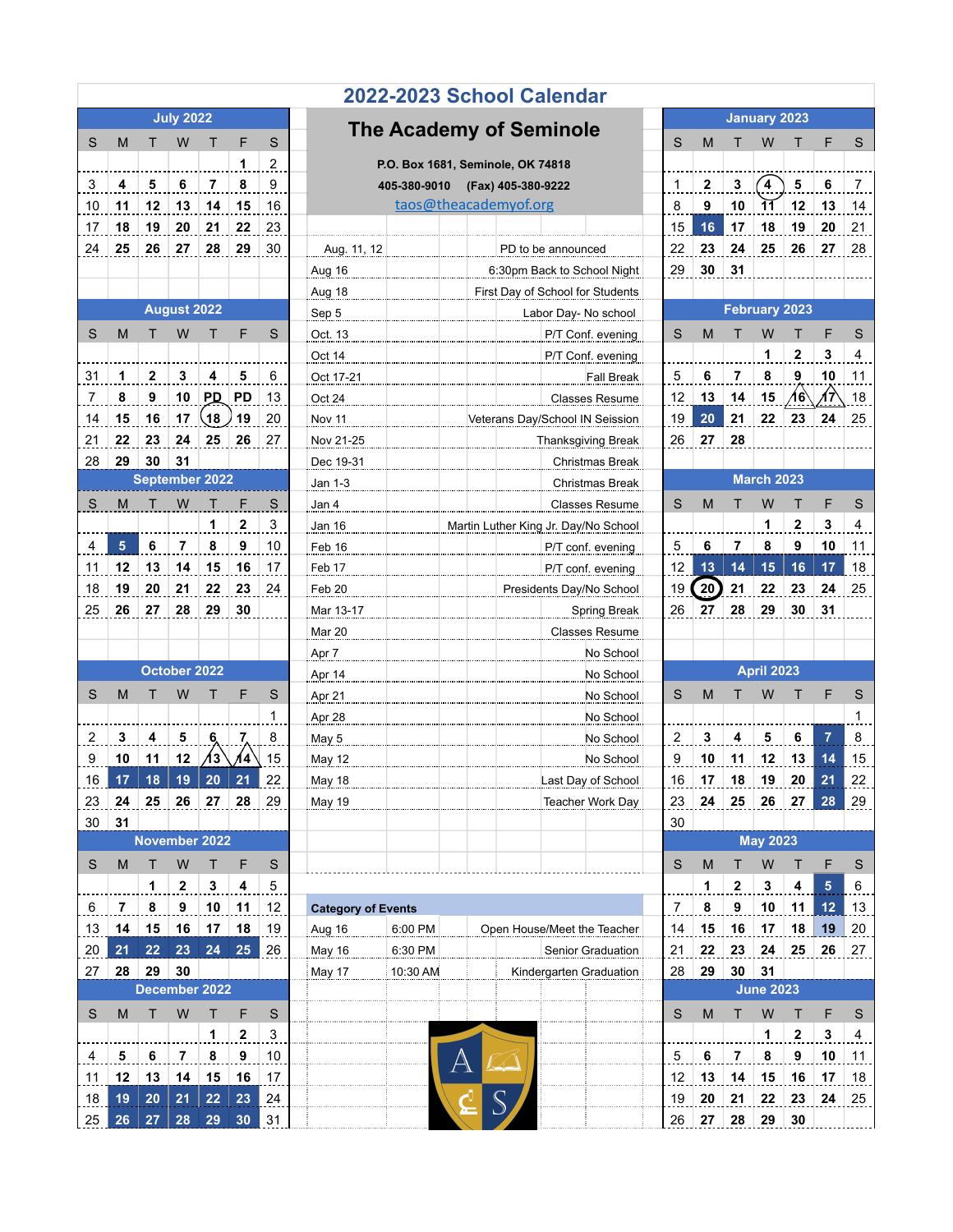| 2022-2023 School Calendar       |                |                       |                   |                  |                         |                         |                                    |                      |                       |                                 |                    |                                              |                |                     |             |                   |                  |                 |                         |  |  |
|---------------------------------|----------------|-----------------------|-------------------|------------------|-------------------------|-------------------------|------------------------------------|----------------------|-----------------------|---------------------------------|--------------------|----------------------------------------------|----------------|---------------------|-------------|-------------------|------------------|-----------------|-------------------------|--|--|
| <b>July 2022</b>                |                |                       |                   |                  |                         |                         | <b>The Academy of Seminole</b>     |                      |                       |                                 |                    |                                              |                | <b>January 2023</b> |             |                   |                  |                 |                         |  |  |
| S                               | M              | т                     | W                 | т                | F                       | S                       |                                    | S                    | M                     | т                               | W                  | т                                            | F              | S                   |             |                   |                  |                 |                         |  |  |
|                                 |                |                       |                   |                  | 1                       | $\overline{\mathbf{c}}$ | P.O. Box 1681, Seminole, OK 74818  |                      |                       |                                 |                    |                                              |                |                     |             |                   |                  |                 |                         |  |  |
| 3                               | 4              | 5                     | 6                 | 7                | 8                       | 9                       | (Fax) 405-380-9222<br>405-380-9010 |                      |                       |                                 |                    |                                              |                |                     | 3           | $\mathbf 4$       | 5                | 6               | 7                       |  |  |
| 10                              | 11             | 12                    | 13                | 14               | 15                      | 16                      |                                    |                      | taos@theacademyof.org |                                 |                    |                                              | 8              | 9                   | 10          | $\overline{11}$   | 12               | 13              | 14                      |  |  |
| 17                              | 18             | 19                    | 20                | 21               | 22                      | 23                      |                                    |                      |                       |                                 |                    |                                              | 15             | 16                  | 17          | 18                | 19               | 20              | 21                      |  |  |
| 24                              | 25             | 26                    | 27                | 28               | 29                      | 30                      | Aug. 11, 12                        |                      |                       |                                 | PD to be announced |                                              | 22             | 23                  | ${\bf 24}$  | 25                | 26               | 27              | 28                      |  |  |
|                                 |                |                       |                   |                  |                         |                         | Aug 16                             |                      |                       |                                 |                    | 6:30pm Back to School Night                  | 29             | 30                  | 31          |                   |                  |                 |                         |  |  |
|                                 |                |                       |                   |                  |                         |                         | <b>Aug 18</b>                      |                      |                       |                                 |                    | First Day of School for Students             |                |                     |             |                   |                  |                 |                         |  |  |
| <b>August 2022</b>              |                |                       | Sep 5             |                  |                         |                         |                                    | Labor Day- No school |                       |                                 |                    | <b>February 2023</b>                         |                |                     |             |                   |                  |                 |                         |  |  |
| S                               | M              | т                     | W                 | т                | F                       | S                       | Oct. 13                            |                      |                       |                                 |                    | P/T Conf. evening                            | S              | M                   | т           | W                 | Т                | F               | S                       |  |  |
|                                 |                |                       |                   |                  |                         |                         | Oct 14                             |                      |                       |                                 |                    | P/T Conf. evening                            |                |                     |             | 1                 | $\mathbf{2}$     | 3               | $\overline{\mathbf{4}}$ |  |  |
| 31                              | 1              | 2                     | 3                 | 4                | 5                       | 6                       | Oct 17-21                          |                      |                       |                                 |                    | <b>Fall Break</b>                            | 5              | 6                   | 7           | 8                 | 9                | 10              | 11                      |  |  |
| 7                               | 8              | 9                     | 10                | <b>PD</b>        | PD                      | 13                      | Oct 24                             |                      |                       |                                 |                    | <b>Classes Resume</b>                        | 12<br>19       | 13                  | 14          | 15                | 16               | 17              | 18                      |  |  |
| 14                              | 15             | 16                    | 17                | $\overline{18}$  | 19                      | 20                      | <b>Nov 11</b>                      |                      |                       | Veterans Day/School IN Seission |                    |                                              |                | 20                  | 21          | 22                | 23               | 24              | 25                      |  |  |
| 21                              | 22             | 23                    | 24                | 25               | 26                      | 27                      | Nov 21-25                          |                      |                       |                                 |                    | <b>Thanksgiving Break</b>                    | 26             | 27                  | 28          |                   |                  |                 |                         |  |  |
| 28                              | 29             | 30                    | 31                |                  |                         |                         | Dec 19-31                          |                      |                       |                                 |                    | Christmas Break                              |                |                     |             |                   |                  |                 |                         |  |  |
|                                 |                | <b>September 2022</b> |                   |                  |                         |                         | Jan 1-3                            |                      |                       |                                 |                    | Christmas Break                              |                |                     |             | <b>March 2023</b> |                  |                 |                         |  |  |
| S                               | M              |                       | W                 |                  |                         | $\mathsf S$             | Jan 4                              |                      |                       |                                 |                    | <b>Classes Resume</b>                        | S              | M                   |             | W                 | т                | F               | S                       |  |  |
|                                 |                |                       |                   | 1                | $\overline{\mathbf{c}}$ | 3                       | Jan 16                             |                      |                       |                                 |                    | Martin Luther King Jr. Day/No School         |                |                     |             | 1                 | $\mathbf 2$      | 3               | 4                       |  |  |
| 4                               | 5              | 6                     | $\overline{7}$    | 8                | 9                       | 10                      | Feb 16                             |                      |                       |                                 |                    | P/T conf. evening                            | $\overline{5}$ | 6                   | 7           | 8                 | 9                | 10              | 11                      |  |  |
| 11                              | 12             | 13                    | 14                | 15               | 16                      | 17                      | Feb 17                             |                      |                       |                                 |                    | P/T conf. evening                            | 12             | 13                  | 14          | 15                | 16               | 17              | 18                      |  |  |
| 18                              | 19             | 20                    | 21                | 22               | 23                      | 24                      | Feb 20                             |                      |                       |                                 |                    | Presidents Day/No School                     | 19             | $\left( 20 \right)$ | 21          | 22                | 23               | 24              | 25                      |  |  |
| 25                              | 26             | 27                    | 28                | 29               | 30                      |                         | Mar 13-17                          |                      |                       |                                 |                    | <b>Spring Break</b>                          | 26             | 27                  | 28          | 29                | 30               | 31              |                         |  |  |
|                                 |                |                       |                   |                  |                         |                         | <b>Mar 20</b>                      |                      |                       |                                 |                    | <b>Classes Resume</b>                        |                |                     |             |                   |                  |                 |                         |  |  |
|                                 |                |                       | October 2022      |                  |                         |                         | Apr 7                              | No School            |                       |                                 |                    |                                              |                |                     |             |                   |                  |                 |                         |  |  |
|                                 |                |                       |                   |                  |                         |                         | Apr 14                             |                      |                       | No School                       |                    |                                              |                |                     |             | <b>April 2023</b> |                  |                 |                         |  |  |
| S                               | M              | т                     | W                 |                  | F                       | S                       | Apr 21                             |                      |                       |                                 |                    | No School                                    | S              | M                   |             | W                 | т                | F               | S                       |  |  |
|                                 |                |                       |                   |                  |                         | 1                       | Apr 28                             |                      |                       |                                 |                    | No School                                    |                |                     |             |                   |                  |                 | 1                       |  |  |
| 2                               | 3              | 4                     | ${\bf 5}$         | 6                | 7                       | 8                       | May 5                              |                      |                       |                                 |                    | No School                                    | 2              | 3                   | 4           | 5                 | 6                | $\overline{7}$  | 8                       |  |  |
| 9                               | 10             | 11                    | 12                | 13               | 14                      | 15                      | May 12                             |                      |                       |                                 |                    | No School                                    | 9              | 10                  | 11          | 12                | 13               | 14              | 15                      |  |  |
| 16                              | 17             | 18                    | 19                | 20               | 21                      | 22                      | <b>May 18</b>                      |                      |                       |                                 |                    | Last Day of School                           | 16             | 17                  | 18          | 19                | 20               | 21              | 22                      |  |  |
| 23                              | 24             |                       |                   | 25 26 27 28      |                         | 29                      | <b>May 19</b>                      |                      |                       |                                 |                    | Teacher Work Day                             | 23             | 24                  |             | $25$ 26 27        |                  | 28              | 29                      |  |  |
| 31<br>30<br>November 2022       |                |                       |                   |                  |                         |                         |                                    |                      |                       |                                 |                    |                                              | 30             |                     |             | <b>May 2023</b>   |                  |                 |                         |  |  |
| M<br>Τ<br>F                     |                |                       |                   |                  |                         | S                       |                                    |                      |                       |                                 |                    |                                              | S              | M                   | т           | W                 |                  | F               | S                       |  |  |
| S                               |                | 1                     | W<br>$\mathbf{2}$ | т<br>$\mathbf 3$ | 4                       | 5                       |                                    |                      |                       |                                 |                    |                                              |                | 1                   | $\mathbf 2$ | $\mathbf{3}$      | Т<br>4           | $5\phantom{.0}$ | $\,6$                   |  |  |
| 6                               | $\overline{7}$ | 8                     | 9                 | 10               | 11                      |                         | <b>Category of Events</b>          |                      |                       |                                 |                    |                                              | $\overline{7}$ | 8                   | 9           | $10$              | 11               | 12              | 13                      |  |  |
| 13                              | 14             | 15                    | 16                | 17               | 18                      | 12<br>19                |                                    | 6:00 PM              |                       |                                 |                    | Open House/Meet the Teacher                  | 14             | 15                  | 16          | 17                | 18               | 19              | 20                      |  |  |
|                                 | 21             | 22                    | 23                | 24               | 25                      | 26                      | Aug 16                             |                      |                       |                                 |                    |                                              |                | 22                  | 23          | 24                | 25               | 26              |                         |  |  |
| 20<br>27                        | 28             | 29                    | 30                |                  |                         |                         | May 16<br>May 17                   | 6:30 PM<br>10:30 AM  |                       |                                 |                    | Senior Graduation<br>Kindergarten Graduation | 21<br>28       | 29                  | 30          | 31                |                  |                 | 27                      |  |  |
|                                 |                | December 2022         |                   |                  |                         |                         |                                    |                      |                       |                                 |                    |                                              |                |                     |             | <b>June 2023</b>  |                  |                 |                         |  |  |
| M<br>W<br>F<br>S<br>S<br>т<br>т |                |                       |                   |                  |                         |                         |                                    |                      |                       |                                 |                    | S                                            | M              | т                   | W           | Т                 | F                | S               |                         |  |  |
|                                 |                |                       |                   | 1                | 2                       | 3                       |                                    |                      |                       |                                 |                    |                                              |                |                     |             | 1                 | $\boldsymbol{2}$ | 3               | 4                       |  |  |
| 4                               | 5              | 6                     | $\bf 7$           | 8                | 9                       | 10                      |                                    |                      |                       |                                 |                    |                                              | 5              | 6                   | 7           | 8                 | 9                | $10$            | 11                      |  |  |
| 11                              | 12             | 13                    | 14                | 15               | 16                      | 17                      |                                    |                      |                       |                                 |                    |                                              | 12             | 13                  | 14          | 15                | 16               | 17              | 18                      |  |  |
| 18                              | 19             | 20                    | 21                | 22               | 23                      | 24                      |                                    |                      |                       |                                 |                    |                                              | 19             | 20                  | 21          | ${\bf 22}$        | 23               | 24              | 25                      |  |  |
| 25                              | 26             | 27                    | 28                | 29               | 30 <sub>2</sub>         | $\frac{31}{2}$          |                                    |                      |                       |                                 |                    |                                              | 26             | 27                  | 28          | 29                | 30               |                 |                         |  |  |
|                                 |                |                       |                   |                  |                         |                         |                                    |                      |                       |                                 |                    |                                              |                |                     |             |                   |                  |                 |                         |  |  |